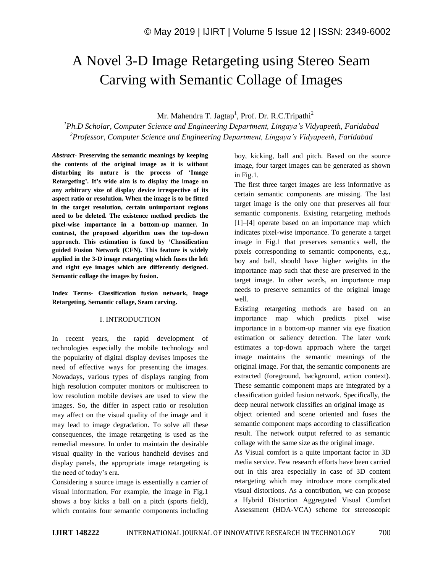# A Novel 3-D Image Retargeting using Stereo Seam Carving with Semantic Collage of Images

Mr. Mahendra T. Jagtap<sup>1</sup>, Prof. Dr. R.C.Tripathi<sup>2</sup>

*<sup>1</sup>Ph.D Scholar, Computer Science and Engineering Department, Lingaya's Vidyapeeth, Faridabad <sup>2</sup>Professor, Computer Science and Engineering Department, Lingaya's Vidyapeeth, Faridabad*

*Abstract*- **Preserving the semantic meanings by keeping the contents of the original image as it is without disturbing its nature is the process of 'Image Retargeting'. It's wide aim is to display the image on any arbitrary size of display device irrespective of its aspect ratio or resolution. When the image is to be fitted in the target resolution, certain unimportant regions need to be deleted. The existence method predicts the pixel-wise importance in a bottom-up manner. In contrast, the proposed algorithm uses the top-down approach. This estimation is fused by 'Classification guided Fusion Network (CFN). This feature is widely applied in the 3-D image retargeting which fuses the left and right eye images which are differently designed. Semantic collage the images by fusion.** 

**Index Terms- Classification fusion network, Inage Retargeting, Semantic collage, Seam carving.**

### I. INTRODUCTION

In recent years, the rapid development of technologies especially the mobile technology and the popularity of digital display devises imposes the need of effective ways for presenting the images. Nowadays, various types of displays ranging from high resolution computer monitors or multiscreen to low resolution mobile devises are used to view the images. So, the differ in aspect ratio or resolution may affect on the visual quality of the image and it may lead to image degradation. To solve all these consequences, the image retargeting is used as the remedial measure. In order to maintain the desirable visual quality in the various handheld devises and display panels, the appropriate image retargeting is the need of today's era.

Considering a source image is essentially a carrier of visual information, For example, the image in Fig.1 shows a boy kicks a ball on a pitch (sports field), which contains four semantic components including boy, kicking, ball and pitch. Based on the source image, four target images can be generated as shown in Fig.1.

The first three target images are less informative as certain semantic components are missing. The last target image is the only one that preserves all four semantic components. Existing retargeting methods [1]–[4] operate based on an importance map which indicates pixel-wise importance. To generate a target image in Fig.1 that preserves semantics well, the pixels corresponding to semantic components, e.g., boy and ball, should have higher weights in the importance map such that these are preserved in the target image. In other words, an importance map needs to preserve semantics of the original image well.

Existing retargeting methods are based on an importance map which predicts pixel wise importance in a bottom-up manner via eye fixation estimation or saliency detection. The later work estimates a top-down approach where the target image maintains the semantic meanings of the original image. For that, the semantic components are extracted (foreground, background, action context). These semantic component maps are integrated by a classification guided fusion network. Specifically, the deep neural network classifies an original image as – object oriented and scene oriented and fuses the semantic component maps according to classification result. The network output referred to as semantic collage with the same size as the original image.

As Visual comfort is a quite important factor in 3D media service. Few research efforts have been carried out in this area especially in case of 3D content retargeting which may introduce more complicated visual distortions. As a contribution, we can propose a Hybrid Distortion Aggregated Visual Comfort Assessment (HDA-VCA) scheme for stereoscopic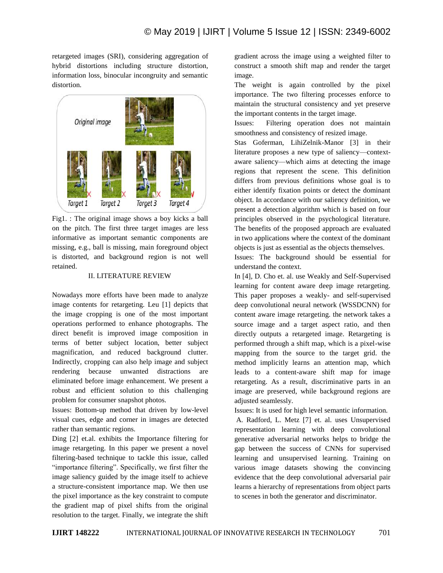retargeted images (SRI), considering aggregation of hybrid distortions including structure distortion, information loss, binocular incongruity and semantic distortion.



Fig1. : The original image shows a boy kicks a ball on the pitch. The first three target images are less informative as important semantic components are missing, e.g., ball is missing, main foreground object is distorted, and background region is not well retained.

## II. LITERATURE REVIEW

Nowadays more efforts have been made to analyze image contents for retargeting. Leu [1] depicts that the image cropping is one of the most important operations performed to enhance photographs. The direct benefit is improved image composition in terms of better subject location, better subject magnification, and reduced background clutter. Indirectly, cropping can also help image and subject rendering because unwanted distractions are eliminated before image enhancement. We present a robust and efficient solution to this challenging problem for consumer snapshot photos.

Issues: Bottom-up method that driven by low-level visual cues, edge and corner in images are detected rather than semantic regions.

Ding [2] et.al. exhibits the Importance filtering for image retargeting. In this paper we present a novel filtering-based technique to tackle this issue, called "importance filtering". Specifically, we first filter the image saliency guided by the image itself to achieve a structure-consistent importance map. We then use the pixel importance as the key constraint to compute the gradient map of pixel shifts from the original resolution to the target. Finally, we integrate the shift gradient across the image using a weighted filter to construct a smooth shift map and render the target image.

The weight is again controlled by the pixel importance. The two filtering processes enforce to maintain the structural consistency and yet preserve the important contents in the target image.

Issues: Filtering operation does not maintain smoothness and consistency of resized image.

Stas Goferman, LihiZelnik-Manor [3] in their literature proposes a new type of saliency—contextaware saliency—which aims at detecting the image regions that represent the scene. This definition differs from previous definitions whose goal is to either identify fixation points or detect the dominant object. In accordance with our saliency definition, we present a detection algorithm which is based on four principles observed in the psychological literature. The benefits of the proposed approach are evaluated in two applications where the context of the dominant objects is just as essential as the objects themselves.

Issues: The background should be essential for understand the context.

In [4], D. Cho et. al. use Weakly and Self-Supervised learning for content aware deep image retargeting. This paper proposes a weakly- and self-supervised deep convolutional neural network (WSSDCNN) for content aware image retargeting. the network takes a source image and a target aspect ratio, and then directly outputs a retargeted image. Retargeting is performed through a shift map, which is a pixel-wise mapping from the source to the target grid. the method implicitly learns an attention map, which leads to a content-aware shift map for image retargeting. As a result, discriminative parts in an image are preserved, while background regions are adjusted seamlessly.

Issues: It is used for high level semantic information.

A. Radford, L. Metz [7] et. al. uses Unsupervised representation learning with deep convolutional generative adversarial networks helps to bridge the gap between the success of CNNs for supervised learning and unsupervised learning. Training on various image datasets showing the convincing evidence that the deep convolutional adversarial pair learns a hierarchy of representations from object parts to scenes in both the generator and discriminator.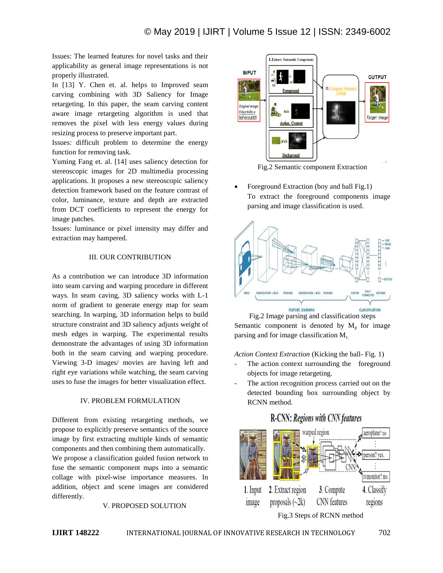Issues: The learned features for novel tasks and their applicability as general image representations is not properly illustrated.

In [13] Y. Chen et. al. helps to Improved seam carving combining with 3D Saliency for Image retargeting. In this paper, the seam carving content aware image retargeting algorithm is used that removes the pixel with less energy values during resizing process to preserve important part.

Issues: difficult problem to determine the energy function for removing task.

Yuming Fang et. al. [14] uses saliency detection for stereoscopic images for 2D multimedia processing applications. It proposes a new stereoscopic saliency detection framework based on the feature contrast of color, luminance, texture and depth are extracted from DCT coefficients to represent the energy for image patches.

Issues: luminance or pixel intensity may differ and extraction may hampered.

# III. OUR CONTRIBUTION

As a contribution we can introduce 3D information into seam carving and warping procedure in different ways. In seam caving, 3D saliency works with L-1 norm of gradient to generate energy map for seam searching. In warping, 3D information helps to build structure constraint and 3D saliency adjusts weight of mesh edges in warping. The experimental results demonstrate the advantages of using 3D information both in the seam carving and warping procedure. Viewing 3-D images/ movies are having left and right eye variations while watching, the seam carving uses to fuse the images for better visualization effect.

#### IV. PROBLEM FORMULATION

Different from existing retargeting methods, we propose to explicitly preserve semantics of the source image by first extracting multiple kinds of semantic components and then combining them automatically. We propose a classification guided fusion network to fuse the semantic component maps into a semantic collage with pixel-wise importance measures. In addition, object and scene images are considered differently.

#### V. PROPOSED SOLUTION



Fig.2 Semantic component Extraction

 Foreground Extraction (boy and ball Fig.1) To extract the foreground components image parsing and image classification is used.



Fig.2 Image parsing and classification steps Semantic component is denoted by  $M_p$  for image parsing and for image classification  $M_c$ .

*Action Context Extraction* (Kicking the ball- Fig. 1)

- The action context surrounding the foreground objects for image retargeting.
- The action recognition process carried out on the detected bounding box surrounding object by RCNN method.

# **R-CNN: Regions with CNN features**

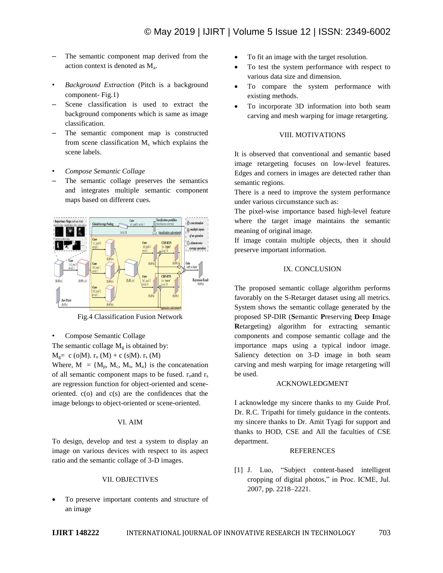- The semantic component map derived from the action context is denoted as M<sup>a</sup> .
- *Background Extraction* (Pitch is a background component- Fig.1)
- Scene classification is used to extract the background components which is same as image classification.
- The semantic component map is constructed from scene classification  $M_s$  which explains the scene labels.
- *Compose Semantic Collage*
- The semantic collage preserves the semantics and integrates multiple semantic component maps based on different cues.



Fig.4 Classification Fusion Network

- Compose Semantic Collage
- The semantic collage  $M<sub>g</sub>$  is obtained by:

 $M_0 = c$  (o|M).  $r_0$  (M) + c (s|M).  $r_s$  (M)

Where,  $M = \{M_p, M_c, M_s, M_a\}$  is the concatenation of all semantic component maps to be fused.  $r_0$  and  $r_s$ are regression function for object-oriented and sceneoriented.  $c(o)$  and  $c(s)$  are the confidences that the image belongs to object-oriented or scene-oriented.

#### VI. AIM

To design, develop and test a system to display an image on various devices with respect to its aspect ratio and the semantic collage of 3-D images.

#### VII. OBJECTIVES

 To preserve important contents and structure of an image

- To fit an image with the target resolution.
- To test the system performance with respect to various data size and dimension.
- To compare the system performance with existing methods.
- To incorporate 3D information into both seam carving and mesh warping for image retargeting.

#### VIII. MOTIVATIONS

It is observed that conventional and semantic based image retargeting focuses on low-level features. Edges and corners in images are detected rather than semantic regions.

There is a need to improve the system performance under various circumstance such as:

The pixel-wise importance based high-level feature where the target image maintains the semantic meaning of original image.

If image contain multiple objects, then it should preserve important information.

#### IX. CONCLUSION

The proposed semantic collage algorithm performs favorably on the S-Retarget dataset using all metrics. System shows the semantic collage generated by the proposed SP-DIR (**S**emantic **P**reserving **D**eep **I**mage **R**etargeting) algorithm for extracting semantic components and compose semantic collage and the importance maps using a typical indoor image. Saliency detection on 3-D image in both seam carving and mesh warping for image retargeting will be used.

#### ACKNOWLEDGMENT

I acknowledge my sincere thanks to my Guide Prof. Dr. R.C. Tripathi for timely guidance in the contents. my sincere thanks to Dr. Amit Tyagi for support and thanks to HOD, CSE and All the faculties of CSE department.

#### REFERENCES

[1] J. Luo, "Subject content-based intelligent cropping of digital photos," in Proc. ICME, Jul. 2007, pp. 2218–2221.